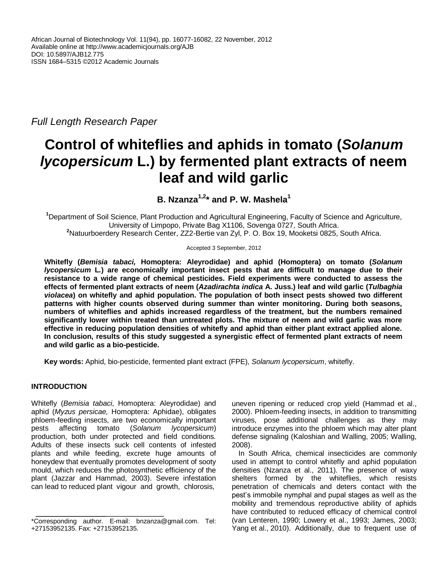*Full Length Research Paper*

# **Control of whiteflies and aphids in tomato (***Solanum lycopersicum* **L.) by fermented plant extracts of neem leaf and wild garlic**

**B. Nzanza1,2 \* and P. W. Mashela<sup>1</sup>**

**<sup>1</sup>**Department of Soil Science, Plant Production and Agricultural Engineering, Faculty of Science and Agriculture, University of Limpopo, Private Bag X1106, Sovenga 0727, South Africa. **<sup>2</sup>**Natuurboerdery Research Center, ZZ2-Bertie van Zyl, P. O. Box 19, Mooketsi 0825, South Africa.

Accepted 3 September, 2012

**Whitefly (***Bemisia tabaci,* **Homoptera: Aleyrodidae) and aphid (Homoptera) on tomato (***Solanum lycopersicum* **L***.***) are economically important insect pests that are difficult to manage due to their resistance to a wide range of chemical pesticides. Field experiments were conducted to assess the effects of fermented plant extracts of neem (***Azadirachta indica* **A. Juss.) leaf and wild garlic (***Tulbaghia violacea***) on whitefly and aphid population. The population of both insect pests showed two different patterns with higher counts observed during summer than winter monitoring. During both seasons, numbers of whiteflies and aphids increased regardless of the treatment, but the numbers remained significantly lower within treated than untreated plots. The mixture of neem and wild garlic was more effective in reducing population densities of whitefly and aphid than either plant extract applied alone. In conclusion, results of this study suggested a synergistic effect of fermented plant extracts of neem and wild garlic as a bio-pesticide.** 

**Key words:** Aphid, bio-pesticide, fermented plant extract (FPE), *Solanum lycopersicum*, whitefly.

# **INTRODUCTION**

Whitefly (*Bemisia tabaci*, Homoptera: Aleyrodidae) and aphid (*Myzus persicae,* Homoptera: Aphidae), obligates phloem-feeding insects, are two economically important pests affecting tomato (*Solanum lycopersicum*) production, both under protected and field conditions. Adults of these insects suck cell contents of infested plants and while feeding, excrete huge amounts of honeydew that eventually promotes development of sooty mould, which reduces the photosynthetic efficiency of the plant (Jazzar and Hammad, 2003). Severe infestation can lead to reduced plant vigour and growth, chlorosis,

uneven ripening or reduced crop yield (Hammad et al., 2000). Phloem-feeding insects, in addition to transmitting viruses, pose additional challenges as they may introduce enzymes into the phloem which may alter plant defense signaling (Kaloshian and Walling, 2005; Walling, 2008).

In South Africa, chemical insecticides are commonly used in attempt to control whitefly and aphid population densities (Nzanza et al., 2011). The presence of waxy shelters formed by the whiteflies, which resists penetration of chemicals and deters contact with the pest's immobile nymphal and pupal stages as well as the mobility and tremendous reproductive ability of aphids have contributed to reduced efficacy of chemical control (van Lenteren, 1990; Lowery et al., 1993; James, 2003; Yang et al., 2010). Additionally, due to frequent use of

<sup>\*</sup>Corresponding author. E-mail: bnzanza@gmail.com. Tel: +27153952135. Fax: +27153952135.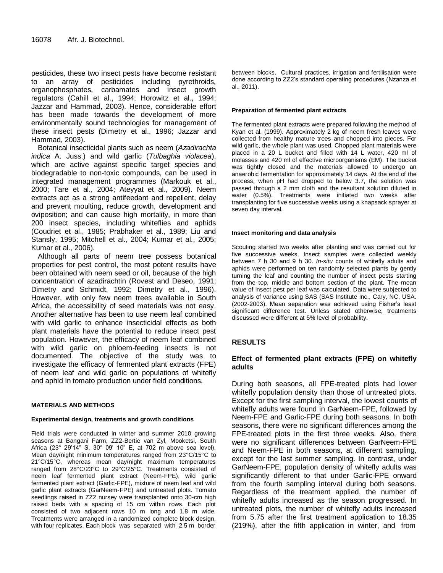pesticides, these two insect pests have become resistant to an array of pesticides including pyrethroids, organophosphates, carbamates and insect growth regulators (Cahill et al., 1994; Horowitz et al., 1994; Jazzar and Hammad, 2003). Hence, considerable effort has been made towards the development of more environmentally sound technologies for management of these insect pests (Dimetry et al., 1996; Jazzar and Hammad, 2003).

Botanical insecticidal plants such as neem (*Azadirachta indica* A. Juss.) and wild garlic (*Tulbaghia violacea*), which are active against specific target species and biodegradable to non-toxic compounds, can be used in integrated management programmes (Markouk et al., 2000; Tare et al., 2004; Ateyyat et al., 2009). Neem extracts act as a strong antifeedant and repellent, delay and prevent moulting, reduce growth, development and oviposition; and can cause high mortality, in more than 200 insect species, including whiteflies and aphids (Coudriet et al., 1985; Prabhaker et al., 1989; Liu and Stansly, 1995; Mitchell et al., 2004; Kumar et al., 2005; Kumar et al., 2006).

Although all parts of neem tree possess botanical properties for pest control, the most potent results have been obtained with neem seed or oil, because of the high concentration of azadirachtin (Rovest and Deseo, 1991; Dimetry and Schmidt, 1992; Dimetry et al., 1996). However, with only few neem trees available in South Africa, the accessibility of seed materials was not easy. Another alternative has been to use neem leaf combined with wild garlic to enhance insecticidal effects as both plant materials have the potential to reduce insect pest population. However, the efficacy of neem leaf combined with wild garlic on phloem-feeding insects is not documented. The objective of the study was to investigate the efficacy of fermented plant extracts (FPE) of neem leaf and wild garlic on populations of whitefly and aphid in tomato production under field conditions.

## **MATERIALS AND METHODS**

## **Experimental design, treatments and growth conditions**

Field trials were conducted in winter and summer 2010 growing seasons at Bangani Farm, ZZ2-Bertie van Zyl, Mooketsi, South Africa (23° 29'14" S, 30° 09' 10" E, at 702 m above sea level). Mean day/night minimum temperatures ranged from 23°C/15°C to 21°C/15°C, whereas mean day/night maximum temperatures ranged from 28°C/23°C to 29°C/25°C. Treatments consisted of neem leaf fermented plant extract (Neem-FPE), wild garlic fermented plant extract (Garlic-FPE), mixture of neem leaf and wild garlic plant extracts (GarNeem-FPE) and untreated plots. Tomato seedlings raised in ZZ2 nursey were transplanted onto 30-cm high raised beds with a spacing of 15 cm within rows. Each plot consisted of two adjacent rows 10 m long and 1.8 m wide. Treatments were arranged in a randomized complete block design, with four replicates. Each block was separated with 2.5 m border

between blocks. Cultural practices, irrigation and fertilisation were done according to ZZ2's standard operating procedures (Nzanza et al., 2011).

### **Preparation of fermented plant extracts**

The fermented plant extracts were prepared following the method of Kyan et al. (1999). Approximately 2 kg of neem fresh leaves were collected from healthy mature trees and chopped into pieces. For wild garlic, the whole plant was used. Chopped plant materials were placed in a 20 L bucket and filled with 14 L water, 420 ml of molasses and 420 ml of effective microorganisms (EM). The bucket was tightly closed and the materials allowed to undergo an anaerobic fermentation for approximately 14 days. At the end of the process, when pH had dropped to below 3.7, the solution was passed through a 2 mm cloth and the resultant solution diluted in water (0.5%). Treatments were initiated two weeks after transplanting for five successive weeks using a knapsack sprayer at seven day interval.

#### **Insect monitoring and data analysis**

Scouting started two weeks after planting and was carried out for five successive weeks. Insect samples were collected weekly between 7 h 30 and 9 h 30. *In-situ* counts of whitefly adults and aphids were performed on ten randomly selected plants by gently turning the leaf and counting the number of insect pests starting from the top, middle and bottom section of the plant. The mean value of insect pest per leaf was calculated. Data were subjected to analysis of variance using SAS (SAS Institute Inc., Cary, NC, USA. (2002-2003). Mean separation was achieved using Fisher's least significant difference test. Unless stated otherwise, treatments discussed were different at 5% level of probability.

# **RESULTS**

## **Effect of fermented plant extracts (FPE) on whitefly adults**

During both seasons, all FPE-treated plots had lower whitefly population density than those of untreated plots. Except for the first sampling interval, the lowest counts of whitefly adults were found in GarNeem-FPE, followed by Neem-FPE and Garlic-FPE during both seasons. In both seasons, there were no significant differences among the FPE-treated plots in the first three weeks. Also, there were no significant differences between GarNeem-FPE and Neem-FPE in both seasons, at different sampling, except for the last summer sampling. In contrast, under GarNeem-FPE, population density of whitefly adults was significantly different to that under Garlic-FPE onward from the fourth sampling interval during both seasons. Regardless of the treatment applied, the number of whitefly adults increased as the season progressed. In untreated plots, the number of whitefly adults increased from 5.75 after the first treatment application to 18.35 (219%), after the fifth application in winter, and from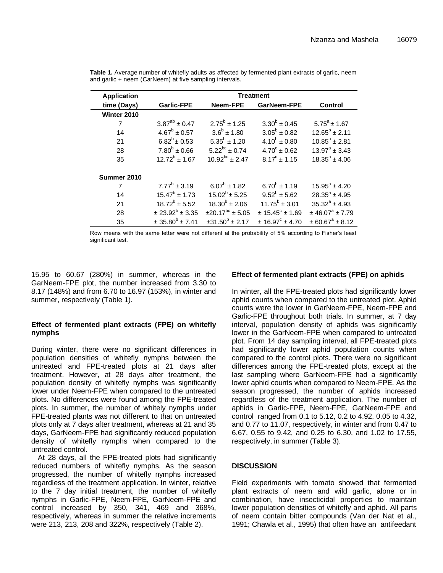| <b>Application</b> | <b>Treatment</b>                    |                              |                          |                               |
|--------------------|-------------------------------------|------------------------------|--------------------------|-------------------------------|
| time (Days)        | <b>Garlic-FPE</b>                   | Neem-FPE                     | GarNeem-FPE              | <b>Control</b>                |
| Winter 2010        |                                     |                              |                          |                               |
| 7                  | $3.87^{ab} \pm 0.47$                | $2.75^b \pm 1.25$            | $3.30^b \pm 0.45$        | $5.75^a \pm 1.67$             |
| 14                 | $4.67^b \pm 0.57$                   | $3.6^b \pm 1.80$             | $3.05^b \pm 0.82$        | $12.65^b \pm 2.11$            |
| 21                 | $6.82^b \pm 0.53$                   | $5.35^{b} \pm 1.20$          | $4.10^{b} \pm 0.80$      | $10.85^a \pm 2.81$            |
| 28                 | $7.80^b \pm 0.66$                   | $5.22^{bc}$ ± 0.74           | $4.70^{\circ} \pm 0.62$  | $13.97^{\circ} \pm 3.43$      |
| 35                 | $12.72^b \pm 1.67$                  | $10.92^{bc}$ ± 2.47          | $8.17^{\circ}$ ± 1.15    | $18.35^a \pm 4.06$            |
| Summer 2010        |                                     |                              |                          |                               |
| 7                  | $7.77^b \pm 3.19$                   | $6.07^b \pm 1.82$            | $6.70^b \pm 1.19$        | $15.95^a \pm 4.20$            |
| 14                 | $15.47^b \pm 1.73$                  | $15.02^b \pm 5.25$           | $9.52^b \pm 5.62$        | $28.35^a \pm 4.95$            |
| 21                 | $18.72^b \pm 5.52$                  | $18.30^{b} \pm 2.06$         | $11.75^b \pm 3.01$       | $35.32^a \pm 4.93$            |
| 28                 | $\pm 23.92^b \pm 3.35$              | $\pm 20.17^{bc} \pm 5.05$    | $± 15.45^{\circ} ± 1.69$ | $±$ 46.07 <sup>a</sup> ± 7.79 |
| 35                 | $\pm$ 35.80 <sup>b</sup> $\pm$ 7.41 | $\pm 31.50^{\circ} \pm 2.17$ | $+16.97^{\circ}+4.70$    | $\pm 60.67^{\circ} \pm 8.12$  |

**Table 1.** Average number of whitefly adults as affected by fermented plant extracts of garlic, neem and garlic + neem (CarNeem) at five sampling intervals.

Row means with the same letter were not different at the probability of 5% according to Fisher's least significant test.

15.95 to 60.67 (280%) in summer, whereas in the GarNeem-FPE plot, the number increased from 3.30 to 8.17 (148%) and from 6.70 to 16.97 (153%), in winter and summer, respectively (Table 1).

## **Effect of fermented plant extracts (FPE) on whitefly nymphs**

During winter, there were no significant differences in population densities of whitefly nymphs between the untreated and FPE-treated plots at 21 days after treatment. However, at 28 days after treatment, the population density of whitefly nymphs was significantly lower under Neem-FPE when compared to the untreated plots. No differences were found among the FPE-treated plots. In summer, the number of whitely nymphs under FPE-treated plants was not different to that on untreated plots only at 7 days after treatment, whereas at 21 and 35 days, GarNeem-FPE had significantly reduced population density of whitefly nymphs when compared to the untreated control.

At 28 days, all the FPE-treated plots had significantly reduced numbers of whitefly nymphs. As the season progressed, the number of whitefly nymphs increased regardless of the treatment application. In winter, relative to the 7 day initial treatment, the number of whitefly nymphs in Garlic-FPE, Neem-FPE, GarNeem-FPE and control increased by 350, 341, 469 and 368%, respectively, whereas in summer the relative increments were 213, 213, 208 and 322%, respectively (Table 2).

# **Effect of fermented plant extracts (FPE) on aphids**

In winter, all the FPE-treated plots had significantly lower aphid counts when compared to the untreated plot. Aphid counts were the lower in GarNeem-FPE, Neem-FPE and Garlic-FPE throughout both trials. In summer, at 7 day interval, population density of aphids was significantly lower in the GarNeem-FPE when compared to untreated plot. From 14 day sampling interval, all FPE-treated plots had significantly lower aphid population counts when compared to the control plots. There were no significant differences among the FPE-treated plots, except at the last sampling where GarNeem-FPE had a significantly lower aphid counts when compared to Neem-FPE. As the season progressed, the number of aphids increased regardless of the treatment application. The number of aphids in Garlic-FPE, Neem-FPE, GarNeem-FPE and control ranged from 0.1 to 5.12, 0.2 to 4.92, 0.05 to 4.32, and 0.77 to 11.07, respectively, in winter and from 0.47 to 6.67, 0.55 to 9.42, and 0.25 to 6.30, and 1.02 to 17.55, respectively, in summer (Table 3).

# **DISCUSSION**

Field experiments with tomato showed that fermented plant extracts of neem and wild garlic, alone or in combination, have insecticidal properties to maintain lower population densities of whitefly and aphid. All parts of neem contain bitter compounds (Van der Nat et al., 1991; Chawla et al., 1995) that often have an antifeedant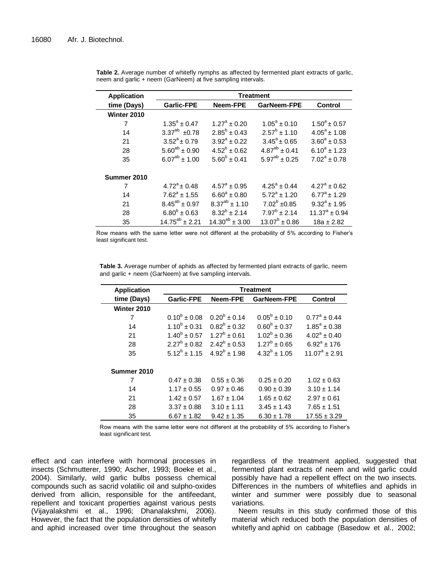| <b>Application</b> | <b>Treatment</b>      |                         |                         |                         |
|--------------------|-----------------------|-------------------------|-------------------------|-------------------------|
| time (Days)        | <b>Garlic-FPE</b>     | <b>Neem-FPE</b>         | GarNeem-FPE             | Control                 |
| Winter 2010        |                       |                         |                         |                         |
| 7                  | $1.35^a \pm 0.47$     | $1.27^a \pm 0.20$       | $1.05^a \pm 0.10$       | $1.50^a \pm 0.57$       |
| 14                 | $3.37^{ab} \pm 0.78$  | $2.85^b \pm 0.43$       | $2.57^b \pm 1.10$       | $4.05^{\circ}$ ± 1.08   |
| 21                 | $3.52^a \pm 0.79$     | $3.92^a \pm 0.22$       | $3.45^{\circ} \pm 0.65$ | $3.60^{\circ} \pm 0.53$ |
| 28                 | $5.60^{ab} \pm 0.90$  | $4.52^b \pm 0.62$       | $4.87^{ab} \pm 0.41$    | $6.10^a + 1.23$         |
| 35                 | $6.07^{ab} \pm 1.00$  | $5.60^{b} \pm 0.41$     | $5.97^{ab} \pm 0.25$    | $7.02^a + 0.78$         |
| Summer 2010        |                       |                         |                         |                         |
| 7                  | $4.72^{\circ}$ ± 0.48 | $4.57^{\circ} \pm 0.95$ | $4.25^a \pm 0.44$       | $4.27^a \pm 0.62$       |
| 14                 | $7.62^a + 1.55$       | $6.60^a \pm 0.80$       | $5.72^a + 1.20$         | $6.77^a \pm 1.29$       |
| 21                 | $8.45^{ab} \pm 0.97$  | $8.37^{ab} \pm 1.10$    | $7.02^b \pm 0.85$       | $9.32^{\circ}$ ± 1.95   |
| 28                 | $6.80^{b} \pm 0.63$   | $8.32^b \pm 2.14$       | $7.97^b \pm 2.14$       | $11.37^a \pm 0.94$      |
| 35                 | $14.75^{ab} \pm 2.21$ | $14.30^{ab} \pm 3.00$   | $13.07^b \pm 0.86$      | $18a \pm 2.82$          |

|                                                              |  | Table 2. Average number of whitefly nymphs as affected by fermented plant extracts of garlic, |
|--------------------------------------------------------------|--|-----------------------------------------------------------------------------------------------|
| neem and garlic + neem (GarNeem) at five sampling intervals. |  |                                                                                               |

Row means with the same letter were not different at the probability of 5% according to Fisher's least significant test.

**Table 3.** Average number of aphids as affected by fermented plant extracts of garlic, neem and garlic + neem (GarNeem) at five sampling intervals.

| <b>Application</b> | <b>Treatment</b>  |                   |                         |                         |  |
|--------------------|-------------------|-------------------|-------------------------|-------------------------|--|
| time (Days)        | <b>Garlic-FPE</b> | Neem-FPE          | GarNeem-FPE             | Control                 |  |
| Winter 2010        |                   |                   |                         |                         |  |
| 7                  | $0.10^{b} + 0.08$ | $0.20^b \pm 0.14$ | $0.05^{\rm b} \pm 0.10$ | $0.77^{\circ} \pm 0.44$ |  |
| 14                 | $1.10^b + 0.31$   | $0.82^b + 0.32$   | $0.60^{b} + 0.37$       | $1.85^{\circ} \pm 0.38$ |  |
| 21                 | $1.40^b \pm 0.57$ | $1.27^b \pm 0.61$ | $1.02^b \pm 0.36$       | $4.02^a + 0.40$         |  |
| 28                 | $2.27^b \pm 0.82$ | $2.42^b \pm 0.53$ | $1.27^b \pm 0.65$       | $6.92^a + 176$          |  |
| 35                 | $5.12^b \pm 1.15$ | $4.92^b \pm 1.98$ | $4.32^b \pm 1.05$       | $11.07^a + 2.91$        |  |
| Summer 2010        |                   |                   |                         |                         |  |
| 7                  | $0.47 \pm 0.38$   | $0.55 \pm 0.36$   | $0.25 \pm 0.20$         | $1.02 \pm 0.63$         |  |
| 14                 | $1.17 \pm 0.55$   | $0.97 \pm 0.46$   | $0.90 \pm 0.39$         | $3.10 \pm 1.14$         |  |
| 21                 | $1.42 \pm 0.57$   | $1.67 \pm 1.04$   | $1.65 \pm 0.62$         | $2.97 \pm 0.61$         |  |
| 28                 | $3.37 \pm 0.88$   | $3.10 \pm 1.11$   | $3.45 \pm 1.43$         | $7.65 \pm 1.51$         |  |
| 35                 | $6.67 \pm 1.82$   | $9.42 \pm 1.35$   | $6.30 \pm 1.78$         | $17.55 \pm 3.29$        |  |

Row means with the same letter were not different at the probability of 5% according to Fisher's least significant test.

effect and can interfere with hormonal processes in insects (Schmutterer, 1990; Ascher, 1993; Boeke et al., 2004). Similarly, wild garlic bulbs possess chemical compounds such as sacrid volatilic oil and sulpho-oxides derived from allicin, responsible for the antifeedant, repellent and toxicant properties against various pests (Vijayalakshmi et al., 1996; Dhanalakshmi, 2006). However, the fact that the population densities of whitefly and aphid increased over time throughout the season

regardless of the treatment applied, suggested that fermented plant extracts of neem and wild garlic could possibly have had a repellent effect on the two insects. Differences in the numbers of whiteflies and aphids in winter and summer were possibly due to seasonal variations.

Neem results in this study confirmed those of this material which reduced both the population densities of whitefly and aphid on cabbage (Basedow et al., 2002;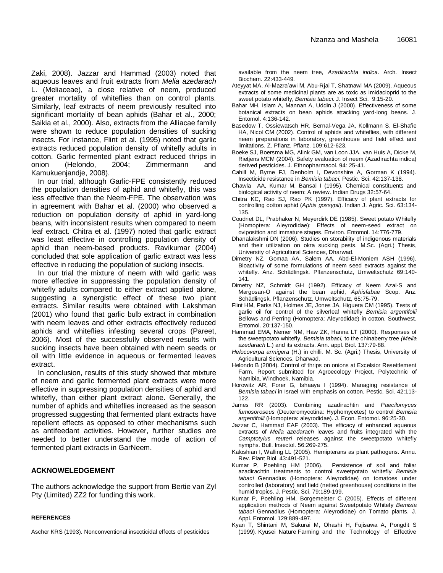Zaki, 2008). Jazzar and Hammad (2003) noted that aqueous leaves and fruit extracts from *Melia azedarach* L. (Meliaceae), a close relative of neem, produced greater mortality of whiteflies than on control plants. Similarly, leaf extracts of neem previously resulted into significant mortality of bean aphids (Bahar et al., 2000; Saikia et al., 2000). Also, extracts from the Alliacae family were shown to reduce population densities of sucking insects. For instance, Flint et al. (1995) noted that garlic extracts reduced population density of whitefly adults in cotton. Garlic fermented plant extract reduced thrips in onion (Helondo, 2004; Zimmermann and Kamukuenjandje, 2008).

In our trial, although Garlic-FPE consistently reduced the population densities of aphid and whitefly, this was less effective than the Neem-FPE. The observation was in agreement with Bahar et al. (2000) who observed a reduction on population density of aphid in yard-long beans, with inconsistent results when compared to neem leaf extract. Chitra et al. (1997) noted that garlic extract was least effective in controlling population density of aphid than neem-based products. Ravikumar (2004) concluded that sole application of garlic extract was less effective in reducing the population of sucking insects.

In our trial the mixture of neem with wild garlic was more effective in suppressing the population density of whitefly adults compared to either extract applied alone, suggesting a synergistic effect of these two plant extracts. Similar results were obtained with Lakshman (2001) who found that garlic bulb extract in combination with neem leaves and other extracts effectively reduced aphids and whiteflies infesting several crops (Pareet, 2006). Most of the successfully observed results with sucking insects have been obtained with neem seeds or oil with little evidence in aqueous or fermented leaves extract.

In conclusion, results of this study showed that mixture of neem and garlic fermented plant extracts were more effective in suppressing population densities of aphid and whitefly, than either plant extract alone. Generally, the number of aphids and whiteflies increased as the season progressed suggesting that fermented plant extracts have repellent effects as opposed to other mechanisms such as antifeedant activities. However, further studies are needed to better understand the mode of action of fermented plant extracts in GarNeem.

## **ACKNOWELEDGEMENT**

The authors acknowledge the support from Bertie van Zyl Pty (Limited) ZZ2 for funding this work.

#### **REFERENCES**

Ascher KRS (1993). Nonconventional insecticidal effects of pesticides

available from the neem tree, *Azadirachta indica*. Arch. Insect Biochem. 22:433-449.

- Ateyyat MA, Al-Mazra'awi M, Abu-Rjai T, Shatnawi MA (2009). Aqueous extracts of some medicinal plants are as toxic as Imidacloprid to the sweet potato whitefly, *Bemisia tabaci*. J. Insect Sci. 9:15-20.
- Bahar MH, Islam A, Mannan A, Uddin J (2000). Effectiveness of some botanical extracts on bean aphids attacking yard-long beans. J. Entomol. 4:136-142.
- Basedow T, Ossiewatsch HR, Bernal-Vega JA, Kollmann S, El-Shafie HA, Nicol CM (2002). Control of aphids and whiteflies, with different neem preparations in laboratory, greenhouse and field effect and limitations. Z. Pflanz. Pflanz. 109:612-623.
- Boeke SJ, Boersma MG, Alink GM, van Loon JJA, van Huis A, Dicke M, Rietjens MCM (2004). Safety evaluation of neem (Azadirachta indica) derived pesticides. J. Ethnopharmacol. 94: 25-41.
- Cahill M, Byrne FJ, Denholm I, Devonshire A, Gorman K (1994). Insecticide resistance in *Bemisia tabaci*. Pestic. Sci. 42:137-138.
- Chawla AA, Kumar M, Bansal I (1995). Chemical constituents and biological activity of neem: A review. Indian Drugs 32:57-64.
- Chitra KC, Rao SJ, Rao PK (1997). Efficacy of plant extracts for controlling cotton aphid (*Aphis gossypii*). Indian J. Agric. Sci. 63:134- 135.
- Coudriet DL, Prabhaker N, Meyerdirk DE (1985). Sweet potato Whitefly (Homoptera: Aleyrodidae): Effects of neem-seed extract on oviposition and immature stages. Environ. Entomol. 14:776-779.
- Dhanalakshmi DN (2006). Studies on storability of indigenous materials and their utilization on okra sucking pests. M.Sc. (Agri.) Thesis, University of Agricultural Sciences, Dharwad.
- Dimetry NZ, Gomaa AA, Salem AA, Abd-El-Moniem ASH (1996). Bioactivity of some formulations of neem seed extracts against the whitefly. Anz. Schädlingsk. Pflanzenschutz, Umweltschutz 69:140- 141.
- Dimetry NZ, Schmidt GH (1992). Efficacy of Neem Azal-S and Margosan-O against the bean aphid, *Aphisfabae* Scop. Anz. Schädlingsk. Pflanzenschutz, Umweltschutz, 65:75-79.
- Flint HM, Parks NJ, Holmes JE, Jones JA, Higuera CM (1995). Tests of garlic oil for control of the silverleaf whitefly *Bemisia argentifolii* Bellows and Perring (Homoptera: Aleyrodidae) in cotton. Southwest. Entomol. 20:137-150.
- Hammad EMA, Nemer NM, Haw ZK, Hanna LT (2000). Responses of the sweetpotato whitefly, *Bemisia tabaci,* to the chinaberry tree *(Melia azedarach* L.) and its extracts. Ann. appl. Biol. 137:79-88.
- *Helocoverpa armigera* (H.) in chilli. M. Sc. (Agri.) Thesis, University of Agricultural Sciences, Dharwad.
- Helondo B (2004). Control of thrips on onions at Excelsior Resettlement Farm. Report submitted for Agroecology Project, Polytechnic of Namibia, Windhoek, Namibia.
- Horowitz AR, Forer G, Ishaaya I (1994). Managing resistance of *Bemisia tabaci* in Israel with emphasis on cotton. Pestic. Sci. 42:113- 122.
- James RR (2003). Combining azadirachtin and *Paecilomyces fumosoroseus* (Deuteromycotina: Hyphomycetes) to control *Bemisia argentifolii* (Homoptera: aleyrodidae). J. Econ. Entomol. 96:25-30.
- Jazzar C, Hammad EAF (2003). The efficacy of enhanced aqueous extracts of *Melia azedarach* leaves and fruits integrated with the *Camptotylus reuteri* releases against the sweetpotato whitefly nymphs. Bull. Insectol. 56:269-275.
- Kaloshian I, Walling LL (2005). Hemipterans as plant pathogens. Annu. Rev. Plant Biol. 43:491-521.
- Kumar P, Poehling HM (2006). Persistence of soil and foliar azadirachtin treatments to control sweetpotato whitefly *Bemisia tabaci* Gennadius (Homoptera: Aleyrodidae) on tomatoes under controlled (laboratory) and field (netted greenhouse) conditions in the humid tropics. J. Pestic. Sci. 79:189-199.
- Kumar P, Poehling HM, Borgemeister C (2005). Effects of different application methods of Neem against Sweetpotato Whitefy *Bemisia tabaci* Gennadius (Homoptera: Aleyrodidae) on Tomato plants. J. Appl. Entomol. 129:889-497.
- Kyan T, Shintani M, Sakurai M, Ohashi H, Fujisawa A, Pongdit S (1999). Kyusei Nature Farming and the Technology of Effective